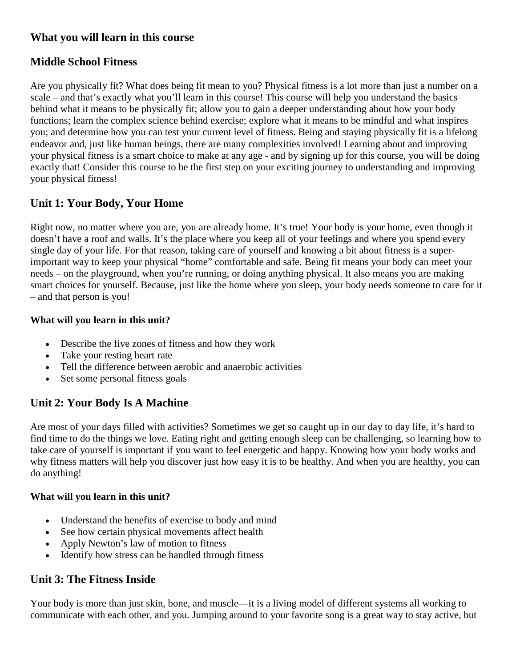#### **What you will learn in this course**

### **Middle School Fitness**

Are you physically fit? What does being fit mean to you? Physical fitness is a lot more than just a number on a scale – and that's exactly what you'll learn in this course! This course will help you understand the basics behind what it means to be physically fit; allow you to gain a deeper understanding about how your body functions; learn the complex science behind exercise; explore what it means to be mindful and what inspires you; and determine how you can test your current level of fitness. Being and staying physically fit is a lifelong endeavor and, just like human beings, there are many complexities involved! Learning about and improving your physical fitness is a smart choice to make at any age - and by signing up for this course, you will be doing exactly that! Consider this course to be the first step on your exciting journey to understanding and improving your physical fitness!

### **Unit 1: Your Body, Your Home**

Right now, no matter where you are, you are already home. It's true! Your body is your home, even though it doesn't have a roof and walls. It's the place where you keep all of your feelings and where you spend every single day of your life. For that reason, taking care of yourself and knowing a bit about fitness is a superimportant way to keep your physical "home" comfortable and safe. Being fit means your body can meet your needs – on the playground, when you're running, or doing anything physical. It also means you are making smart choices for yourself. Because, just like the home where you sleep, your body needs someone to care for it – and that person is you!

#### **What will you learn in this unit?**

- Describe the five zones of fitness and how they work
- Take your resting heart rate
- Tell the difference between aerobic and anaerobic activities
- Set some personal fitness goals

### **Unit 2: Your Body Is A Machine**

Are most of your days filled with activities? Sometimes we get so caught up in our day to day life, it's hard to find time to do the things we love. Eating right and getting enough sleep can be challenging, so learning how to take care of yourself is important if you want to feel energetic and happy. Knowing how your body works and why fitness matters will help you discover just how easy it is to be healthy. And when you are healthy, you can do anything!

#### **What will you learn in this unit?**

- Understand the benefits of exercise to body and mind
- See how certain physical movements affect health
- Apply Newton's law of motion to fitness
- Identify how stress can be handled through fitness

### **Unit 3: The Fitness Inside**

Your body is more than just skin, bone, and muscle—it is a living model of different systems all working to communicate with each other, and you. Jumping around to your favorite song is a great way to stay active, but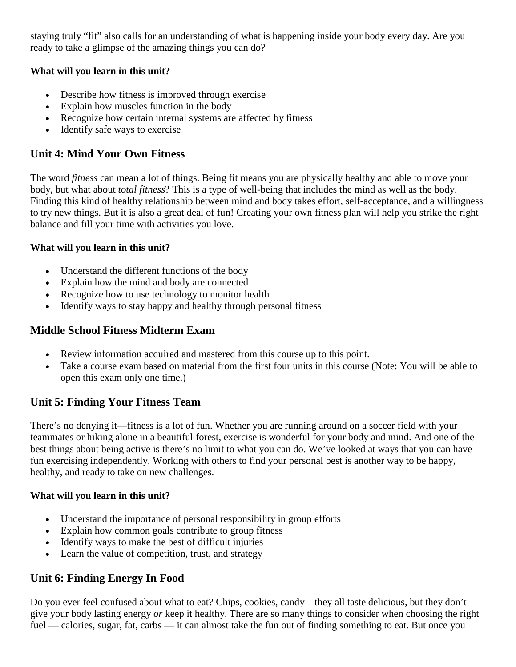staying truly "fit" also calls for an understanding of what is happening inside your body every day. Are you ready to take a glimpse of the amazing things you can do?

#### **What will you learn in this unit?**

- Describe how fitness is improved through exercise
- Explain how muscles function in the body
- Recognize how certain internal systems are affected by fitness
- Identify safe ways to exercise

### **Unit 4: Mind Your Own Fitness**

The word *fitness* can mean a lot of things. Being fit means you are physically healthy and able to move your body, but what about *total fitness*? This is a type of well-being that includes the mind as well as the body. Finding this kind of healthy relationship between mind and body takes effort, self-acceptance, and a willingness to try new things. But it is also a great deal of fun! Creating your own fitness plan will help you strike the right balance and fill your time with activities you love.

#### **What will you learn in this unit?**

- Understand the different functions of the body
- Explain how the mind and body are connected
- Recognize how to use technology to monitor health
- Identify ways to stay happy and healthy through personal fitness

## **Middle School Fitness Midterm Exam**

- Review information acquired and mastered from this course up to this point.
- Take a course exam based on material from the first four units in this course (Note: You will be able to open this exam only one time.)

### **Unit 5: Finding Your Fitness Team**

There's no denying it—fitness is a lot of fun. Whether you are running around on a soccer field with your teammates or hiking alone in a beautiful forest, exercise is wonderful for your body and mind. And one of the best things about being active is there's no limit to what you can do. We've looked at ways that you can have fun exercising independently. Working with others to find your personal best is another way to be happy, healthy, and ready to take on new challenges.

#### **What will you learn in this unit?**

- Understand the importance of personal responsibility in group efforts
- Explain how common goals contribute to group fitness
- Identify ways to make the best of difficult injuries
- Learn the value of competition, trust, and strategy

# **Unit 6: Finding Energy In Food**

Do you ever feel confused about what to eat? Chips, cookies, candy—they all taste delicious, but they don't give your body lasting energy *or* keep it healthy. There are so many things to consider when choosing the right fuel — calories, sugar, fat, carbs — it can almost take the fun out of finding something to eat. But once you